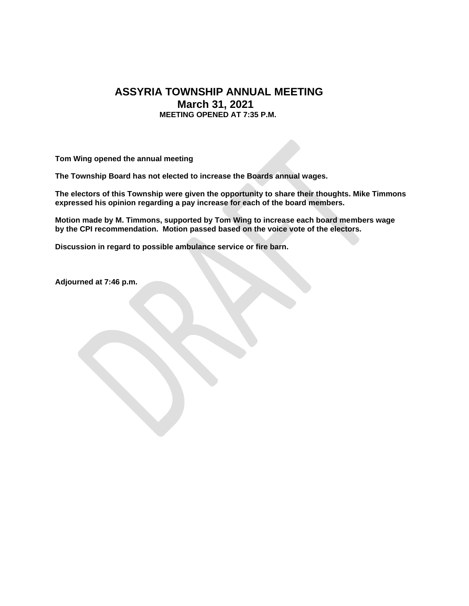## **ASSYRIA TOWNSHIP ANNUAL MEETING March 31, 2021 MEETING OPENED AT 7:35 P.M.**

**Tom Wing opened the annual meeting**

**The Township Board has not elected to increase the Boards annual wages.** 

**The electors of this Township were given the opportunity to share their thoughts. Mike Timmons expressed his opinion regarding a pay increase for each of the board members.**

**Motion made by M. Timmons, supported by Tom Wing to increase each board members wage by the CPI recommendation. Motion passed based on the voice vote of the electors.** 

**Discussion in regard to possible ambulance service or fire barn.** 

**Adjourned at 7:46 p.m.**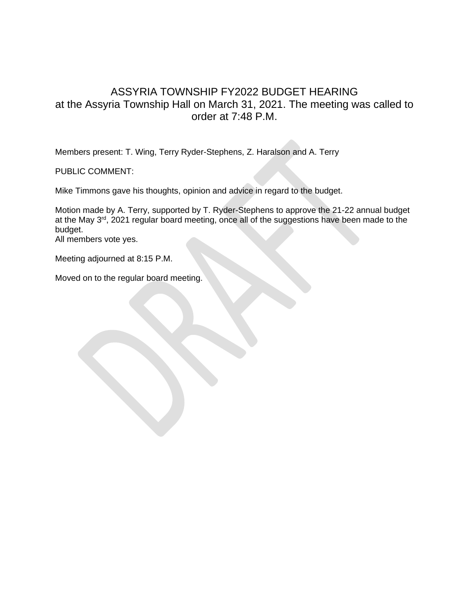# ASSYRIA TOWNSHIP FY2022 BUDGET HEARING at the Assyria Township Hall on March 31, 2021. The meeting was called to order at 7:48 P.M.

Members present: T. Wing, Terry Ryder-Stephens, Z. Haralson and A. Terry

PUBLIC COMMENT:

Mike Timmons gave his thoughts, opinion and advice in regard to the budget.

Motion made by A. Terry, supported by T. Ryder-Stephens to approve the 21-22 annual budget at the May 3rd, 2021 regular board meeting, once all of the suggestions have been made to the budget.

All members vote yes.

Meeting adjourned at 8:15 P.M.

Moved on to the regular board meeting.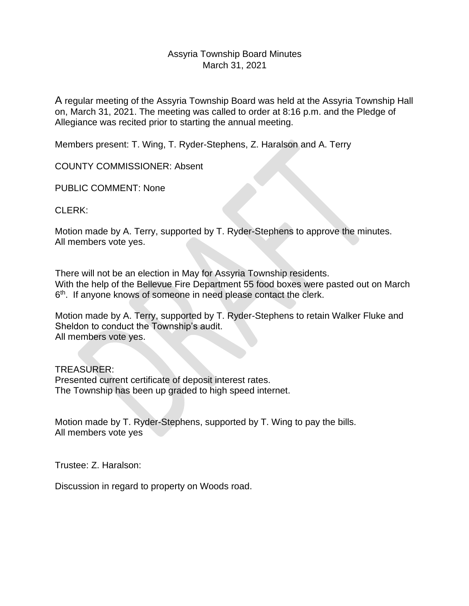## Assyria Township Board Minutes March 31, 2021

A regular meeting of the Assyria Township Board was held at the Assyria Township Hall on, March 31, 2021. The meeting was called to order at 8:16 p.m. and the Pledge of Allegiance was recited prior to starting the annual meeting.

Members present: T. Wing, T. Ryder-Stephens, Z. Haralson and A. Terry

COUNTY COMMISSIONER: Absent

PUBLIC COMMENT: None

CLERK:

Motion made by A. Terry, supported by T. Ryder-Stephens to approve the minutes. All members vote yes.

There will not be an election in May for Assyria Township residents. With the help of the Bellevue Fire Department 55 food boxes were pasted out on March 6<sup>th</sup>. If anyone knows of someone in need please contact the clerk.

Motion made by A. Terry, supported by T. Ryder-Stephens to retain Walker Fluke and Sheldon to conduct the Township's audit. All members vote yes.

TREASURER: Presented current certificate of deposit interest rates. The Township has been up graded to high speed internet.

Motion made by T. Ryder-Stephens, supported by T. Wing to pay the bills. All members vote yes

Trustee: Z. Haralson:

Discussion in regard to property on Woods road.